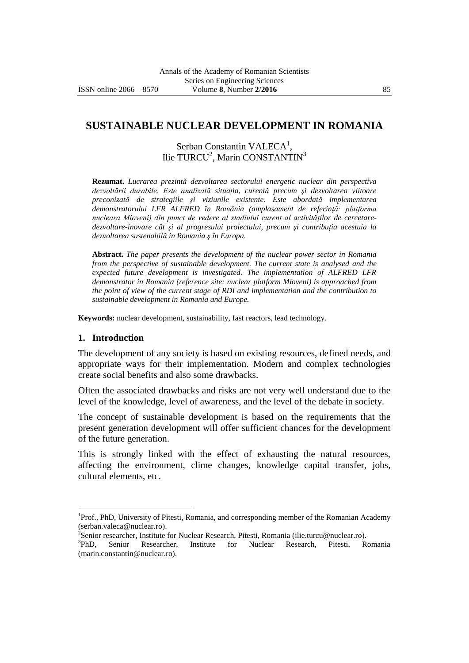# **SUSTAINABLE NUCLEAR DEVELOPMENT IN ROMANIA**

Serban Constantin VALECA<sup>1</sup>, Ilie TURCU<sup>2</sup>, Marin CONSTANTIN<sup>3</sup>

**Rezumat.** *Lucrarea prezintă dezvoltarea sectorului energetic nuclear din perspectiva dezvoltării durabile. Este analizată situaţia, curentă precum şi dezvoltarea viitoare preconizată de strategiile şi viziunile existente. Este abordată implementarea demonstratorului LFR ALFRED în România (amplasament de referinţă: platforma nucleara Mioveni) din punct de vedere al stadiului curent al activităţilor de cercetaredezvoltare-inovare cât şi al progresului proiectului, precum şi contribuţia acestuia la dezvoltarea sustenabilă in Romania ş în Europa.* 

**Abstract.** *The paper presents the development of the nuclear power sector in Romania from the perspective of sustainable development. The current state is analysed and the expected future development is investigated. The implementation of ALFRED LFR demonstrator in Romania (reference site: nuclear platform Mioveni) is approached from the point of view of the current stage of RDI and implementation and the contribution to sustainable development in Romania and Europe.*

**Keywords:** nuclear development, sustainability, fast reactors, lead technology.

#### **1. Introduction**

 $\overline{a}$ 

The development of any society is based on existing resources, defined needs, and appropriate ways for their implementation. Modern and complex technologies create social benefits and also some drawbacks.

Often the associated drawbacks and risks are not very well understand due to the level of the knowledge, level of awareness, and the level of the debate in society.

The concept of sustainable development is based on the requirements that the present generation development will offer sufficient chances for the development of the future generation.

This is strongly linked with the effect of exhausting the natural resources, affecting the environment, clime changes, knowledge capital transfer, jobs, cultural elements, etc.

<sup>&</sup>lt;sup>1</sup>Prof., PhD, University of Pitesti, Romania, and corresponding member of the Romanian Academy (serban.valeca@nuclear.ro).<br><sup>2</sup>Senior researcher, Institute for Nuclear Research, Pitesti, Romania (ilie.turcu@nuclear.ro).

 $^3$ PhD Senior Researcher, Institute for Nuclear Research, Pitesti, Romania (marin.constantin@nuclear.ro).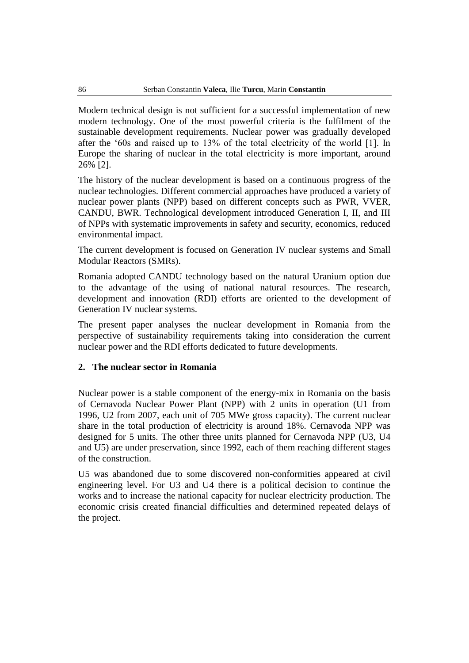Modern technical design is not sufficient for a successful implementation of new modern technology. One of the most powerful criteria is the fulfilment of the sustainable development requirements. Nuclear power was gradually developed after the '60s and raised up to 13% of the total electricity of the world [1]. In Europe the sharing of nuclear in the total electricity is more important, around 26% [2].

The history of the nuclear development is based on a continuous progress of the nuclear technologies. Different commercial approaches have produced a variety of nuclear power plants (NPP) based on different concepts such as PWR, VVER, CANDU, BWR. Technological development introduced Generation I, II, and III of NPPs with systematic improvements in safety and security, economics, reduced environmental impact.

The current development is focused on Generation IV nuclear systems and Small Modular Reactors (SMRs).

Romania adopted CANDU technology based on the natural Uranium option due to the advantage of the using of national natural resources. The research, development and innovation (RDI) efforts are oriented to the development of Generation IV nuclear systems.

The present paper analyses the nuclear development in Romania from the perspective of sustainability requirements taking into consideration the current nuclear power and the RDI efforts dedicated to future developments.

### **2. The nuclear sector in Romania**

Nuclear power is a stable component of the energy-mix in Romania on the basis of Cernavoda Nuclear Power Plant (NPP) with 2 units in operation (U1 from 1996, U2 from 2007, each unit of 705 MWe gross capacity). The current nuclear share in the total production of electricity is around 18%. Cernavoda NPP was designed for 5 units. The other three units planned for Cernavoda NPP (U3, U4 and U5) are under preservation, since 1992, each of them reaching different stages of the construction.

U5 was abandoned due to some discovered non-conformities appeared at civil engineering level. For U3 and U4 there is a political decision to continue the works and to increase the national capacity for nuclear electricity production. The economic crisis created financial difficulties and determined repeated delays of the project.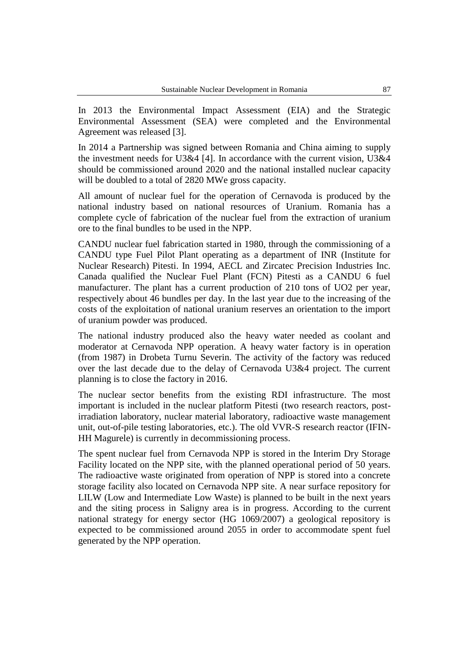In 2013 the Environmental Impact Assessment (EIA) and the Strategic Environmental Assessment (SEA) were completed and the Environmental Agreement was released [3].

In 2014 a Partnership was signed between Romania and China aiming to supply the investment needs for U3&4 [4]. In accordance with the current vision, U3&4 should be commissioned around 2020 and the national installed nuclear capacity will be doubled to a total of 2820 MWe gross capacity.

All amount of nuclear fuel for the operation of Cernavoda is produced by the national industry based on national resources of Uranium. Romania has a complete cycle of fabrication of the nuclear fuel from the extraction of uranium ore to the final bundles to be used in the NPP.

CANDU nuclear fuel fabrication started in 1980, through the commissioning of a CANDU type Fuel Pilot Plant operating as a department of INR (Institute for Nuclear Research) Pitesti. In 1994, AECL and Zircatec Precision Industries Inc. Canada qualified the Nuclear Fuel Plant (FCN) Pitesti as a CANDU 6 fuel manufacturer. The plant has a current production of 210 tons of UO2 per year, respectively about 46 bundles per day. In the last year due to the increasing of the costs of the exploitation of national uranium reserves an orientation to the import of uranium powder was produced.

The national industry produced also the heavy water needed as coolant and moderator at Cernavoda NPP operation. A heavy water factory is in operation (from 1987) in Drobeta Turnu Severin. The activity of the factory was reduced over the last decade due to the delay of Cernavoda U3&4 project. The current planning is to close the factory in 2016.

The nuclear sector benefits from the existing RDI infrastructure. The most important is included in the nuclear platform Pitesti (two research reactors, postirradiation laboratory, nuclear material laboratory, radioactive waste management unit, out-of-pile testing laboratories, etc.). The old VVR-S research reactor (IFIN-HH Magurele) is currently in decommissioning process.

The spent nuclear fuel from Cernavoda NPP is stored in the Interim Dry Storage Facility located on the NPP site, with the planned operational period of 50 years. The radioactive waste originated from operation of NPP is stored into a concrete storage facility also located on Cernavoda NPP site. A near surface repository for LILW (Low and Intermediate Low Waste) is planned to be built in the next years and the siting process in Saligny area is in progress. According to the current national strategy for energy sector (HG 1069/2007) a geological repository is expected to be commissioned around 2055 in order to accommodate spent fuel generated by the NPP operation.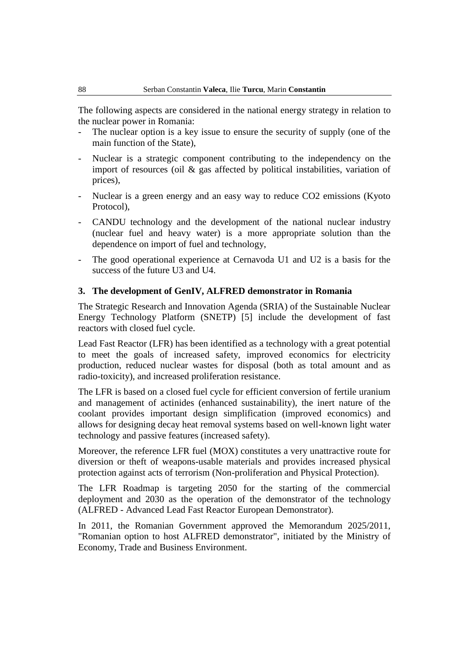The following aspects are considered in the national energy strategy in relation to the nuclear power in Romania:

- The nuclear option is a key issue to ensure the security of supply (one of the main function of the State),
- Nuclear is a strategic component contributing to the independency on the import of resources (oil & gas affected by political instabilities, variation of prices),
- Nuclear is a green energy and an easy way to reduce CO2 emissions (Kyoto Protocol),
- CANDU technology and the development of the national nuclear industry (nuclear fuel and heavy water) is a more appropriate solution than the dependence on import of fuel and technology,
- The good operational experience at Cernavoda U1 and U2 is a basis for the success of the future U3 and U4.

# **3. The development of GenIV, ALFRED demonstrator in Romania**

The Strategic Research and Innovation Agenda (SRIA) of the Sustainable Nuclear Energy Technology Platform (SNETP) [5] include the development of fast reactors with closed fuel cycle.

Lead Fast Reactor (LFR) has been identified as a technology with a great potential to meet the goals of increased safety, improved economics for electricity production, reduced nuclear wastes for disposal (both as total amount and as radio-toxicity), and increased proliferation resistance.

The LFR is based on a closed fuel cycle for efficient conversion of fertile uranium and management of actinides (enhanced sustainability), the inert nature of the coolant provides important design simplification (improved economics) and allows for designing decay heat removal systems based on well-known light water technology and passive features (increased safety).

Moreover, the reference LFR fuel (MOX) constitutes a very unattractive route for diversion or theft of weapons-usable materials and provides increased physical protection against acts of terrorism (Non-proliferation and Physical Protection).

The LFR Roadmap is targeting 2050 for the starting of the commercial deployment and 2030 as the operation of the demonstrator of the technology (ALFRED - Advanced Lead Fast Reactor European Demonstrator).

In 2011, the Romanian Government approved the Memorandum 2025/2011, "Romanian option to host ALFRED demonstrator", initiated by the Ministry of Economy, Trade and Business Environment.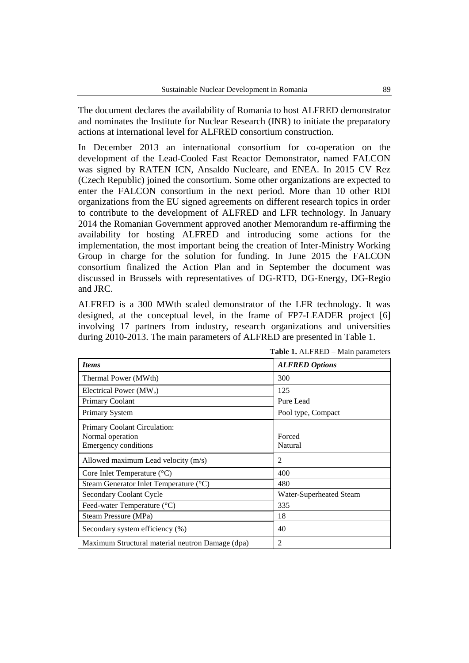The document declares the availability of Romania to host ALFRED demonstrator and nominates the Institute for Nuclear Research (INR) to initiate the preparatory actions at international level for ALFRED consortium construction.

In December 2013 an international consortium for co-operation on the development of the Lead-Cooled Fast Reactor Demonstrator, named FALCON was signed by RATEN ICN, Ansaldo Nucleare, and ENEA. In 2015 CV Rez (Czech Republic) joined the consortium. Some other organizations are expected to enter the FALCON consortium in the next period. More than 10 other RDI organizations from the EU signed agreements on different research topics in order to contribute to the development of ALFRED and LFR technology. In January 2014 the Romanian Government approved another Memorandum re-affirming the availability for hosting ALFRED and introducing some actions for the implementation, the most important being the creation of Inter-Ministry Working Group in charge for the solution for funding. In June 2015 the FALCON consortium finalized the Action Plan and in September the document was discussed in Brussels with representatives of DG-RTD, DG-Energy, DG-Regio and JRC.

ALFRED is a 300 MWth scaled demonstrator of the LFR technology. It was designed, at the conceptual level, in the frame of FP7-LEADER project [6] involving 17 partners from industry, research organizations and universities during 2010-2013. The main parameters of ALFRED are presented in Table 1.

| <b>rapic 1.</b> Then RED Trian parameters                                       |                         |  |
|---------------------------------------------------------------------------------|-------------------------|--|
| <b>Items</b>                                                                    | <b>ALFRED Options</b>   |  |
| Thermal Power (MWth)                                                            | 300                     |  |
| Electrical Power $(MW_e)$                                                       | 125                     |  |
| <b>Primary Coolant</b>                                                          | Pure Lead               |  |
| Primary System                                                                  | Pool type, Compact      |  |
| Primary Coolant Circulation:<br>Normal operation<br><b>Emergency conditions</b> | Forced<br>Natural       |  |
| Allowed maximum Lead velocity (m/s)                                             | $\overline{2}$          |  |
| Core Inlet Temperature $({}^{\circ}C)$                                          | 400                     |  |
| Steam Generator Inlet Temperature (°C)                                          | 480                     |  |
| <b>Secondary Coolant Cycle</b>                                                  | Water-Superheated Steam |  |
| Feed-water Temperature (°C)                                                     | 335                     |  |
| Steam Pressure (MPa)                                                            | 18                      |  |
| Secondary system efficiency (%)                                                 | 40                      |  |
| Maximum Structural material neutron Damage (dpa)                                | 2                       |  |

**Table 1.** ALFRED – Main parameters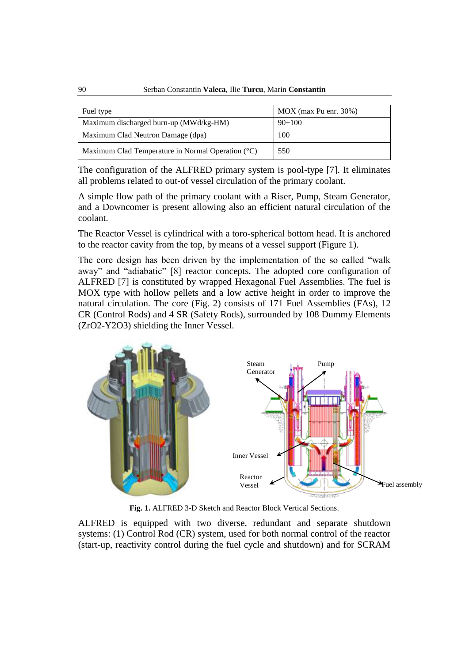| Fuel type                                                    | $\vert$ MOX (max Pu enr. 30%) |
|--------------------------------------------------------------|-------------------------------|
| Maximum discharged burn-up (MWd/kg-HM)                       | $90 \div 100$                 |
| Maximum Clad Neutron Damage (dpa)                            | 100                           |
| Maximum Clad Temperature in Normal Operation $({}^{\circ}C)$ | 550                           |

The configuration of the ALFRED primary system is pool-type [7]. It eliminates all problems related to out-of vessel circulation of the primary coolant.

A simple flow path of the primary coolant with a Riser, Pump, Steam Generator, and a Downcomer is present allowing also an efficient natural circulation of the coolant.

The Reactor Vessel is cylindrical with a toro-spherical bottom head. It is anchored to the reactor cavity from the top, by means of a vessel support (Figure 1).

The core design has been driven by the implementation of the so called "walk away" and "adiabatic" [8] reactor concepts. The adopted core configuration of ALFRED [7] is constituted by wrapped Hexagonal Fuel Assemblies. The fuel is MOX type with hollow pellets and a low active height in order to improve the natural circulation. The core (Fig. 2) consists of 171 Fuel Assemblies (FAs), 12 CR (Control Rods) and 4 SR (Safety Rods), surrounded by 108 Dummy Elements (ZrO2-Y2O3) shielding the Inner Vessel.



**Fig. 1.** ALFRED 3-D Sketch and Reactor Block Vertical Sections.

ALFRED is equipped with two diverse, redundant and separate shutdown systems: (1) Control Rod (CR) system, used for both normal control of the reactor (start-up, reactivity control during the fuel cycle and shutdown) and for SCRAM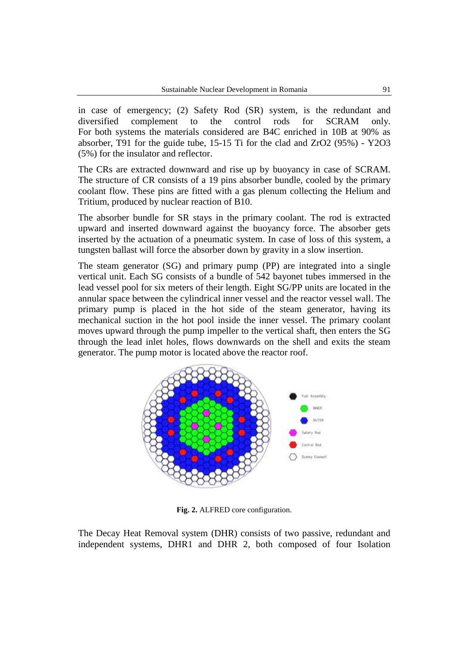in case of emergency; (2) Safety Rod (SR) system, is the redundant and diversified complement to the control rods for SCRAM only. For both systems the materials considered are B4C enriched in 10B at 90% as absorber, T91 for the guide tube, 15-15 Ti for the clad and ZrO2 (95%) - Y2O3 (5%) for the insulator and reflector.

The CRs are extracted downward and rise up by buoyancy in case of SCRAM. The structure of CR consists of a 19 pins absorber bundle, cooled by the primary coolant flow. These pins are fitted with a gas plenum collecting the Helium and Tritium, produced by nuclear reaction of B10.

The absorber bundle for SR stays in the primary coolant. The rod is extracted upward and inserted downward against the buoyancy force. The absorber gets inserted by the actuation of a pneumatic system. In case of loss of this system, a tungsten ballast will force the absorber down by gravity in a slow insertion.

The steam generator (SG) and primary pump (PP) are integrated into a single vertical unit. Each SG consists of a bundle of 542 bayonet tubes immersed in the lead vessel pool for six meters of their length. Eight SG/PP units are located in the annular space between the cylindrical inner vessel and the reactor vessel wall. The primary pump is placed in the hot side of the steam generator, having its mechanical suction in the hot pool inside the inner vessel. The primary coolant moves upward through the pump impeller to the vertical shaft, then enters the SG through the lead inlet holes, flows downwards on the shell and exits the steam generator. The pump motor is located above the reactor roof.



**Fig. 2.** ALFRED core configuration.

The Decay Heat Removal system (DHR) consists of two passive, redundant and independent systems, DHR1 and DHR 2, both composed of four Isolation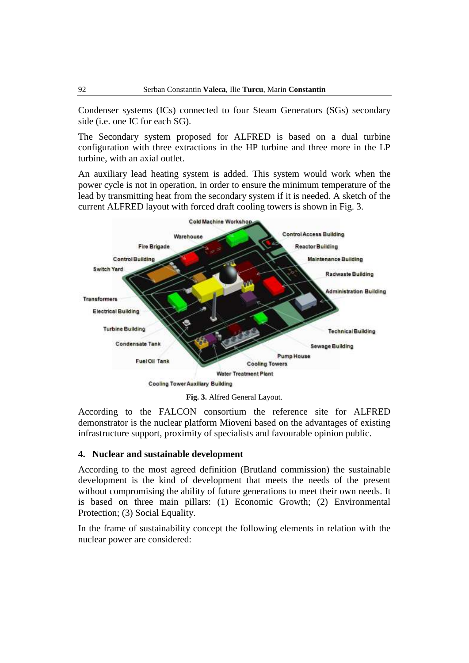Condenser systems (ICs) connected to four Steam Generators (SGs) secondary side (i.e. one IC for each SG).

The Secondary system proposed for ALFRED is based on a dual turbine configuration with three extractions in the HP turbine and three more in the LP turbine, with an axial outlet.

An auxiliary lead heating system is added. This system would work when the power cycle is not in operation, in order to ensure the minimum temperature of the lead by transmitting heat from the secondary system if it is needed. A sketch of the current ALFRED layout with forced draft cooling towers is shown in Fig. 3.



**Fig. 3.** Alfred General Layout.

According to the FALCON consortium the reference site for ALFRED demonstrator is the nuclear platform Mioveni based on the advantages of existing infrastructure support, proximity of specialists and favourable opinion public.

### **4. Nuclear and sustainable development**

According to the most agreed definition (Brutland commission) the sustainable development is the kind of development that meets the needs of the present without compromising the ability of future generations to meet their own needs. It is based on three main pillars: (1) Economic Growth; (2) Environmental Protection; (3) Social Equality.

In the frame of sustainability concept the following elements in relation with the nuclear power are considered: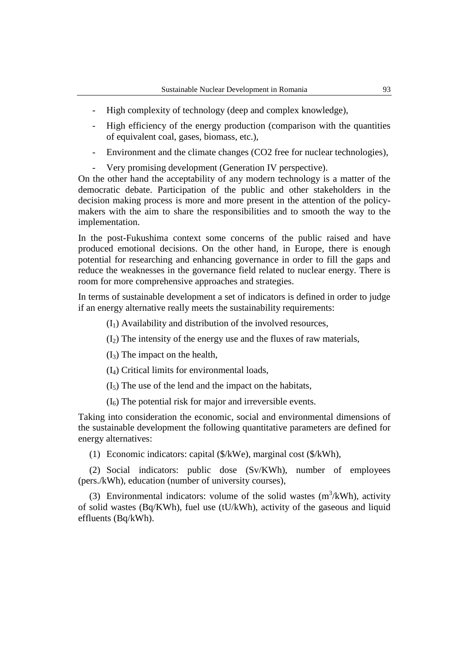- High complexity of technology (deep and complex knowledge),
- High efficiency of the energy production (comparison with the quantities of equivalent coal, gases, biomass, etc.),
- Environment and the climate changes (CO2 free for nuclear technologies),
- Very promising development (Generation IV perspective).

On the other hand the acceptability of any modern technology is a matter of the democratic debate. Participation of the public and other stakeholders in the decision making process is more and more present in the attention of the policymakers with the aim to share the responsibilities and to smooth the way to the implementation.

In the post-Fukushima context some concerns of the public raised and have produced emotional decisions. On the other hand, in Europe, there is enough potential for researching and enhancing governance in order to fill the gaps and reduce the weaknesses in the governance field related to nuclear energy. There is room for more comprehensive approaches and strategies.

In terms of sustainable development a set of indicators is defined in order to judge if an energy alternative really meets the sustainability requirements:

 $(I<sub>1</sub>)$  Availability and distribution of the involved resources,

 $(I_2)$  The intensity of the energy use and the fluxes of raw materials,

 $(I_3)$  The impact on the health,

(I4) Critical limits for environmental loads,

 $(I_5)$  The use of the lend and the impact on the habitats,

 $(I<sub>6</sub>)$  The potential risk for major and irreversible events.

Taking into consideration the economic, social and environmental dimensions of the sustainable development the following quantitative parameters are defined for energy alternatives:

(1) Economic indicators: capital (\$/kWe), marginal cost (\$/kWh),

(2) Social indicators: public dose (Sv/KWh), number of employees (pers./kWh), education (number of university courses),

(3) Environmental indicators: volume of the solid wastes  $(m^3/kWh)$ , activity of solid wastes (Bq/KWh), fuel use (tU/kWh), activity of the gaseous and liquid effluents (Bq/kWh).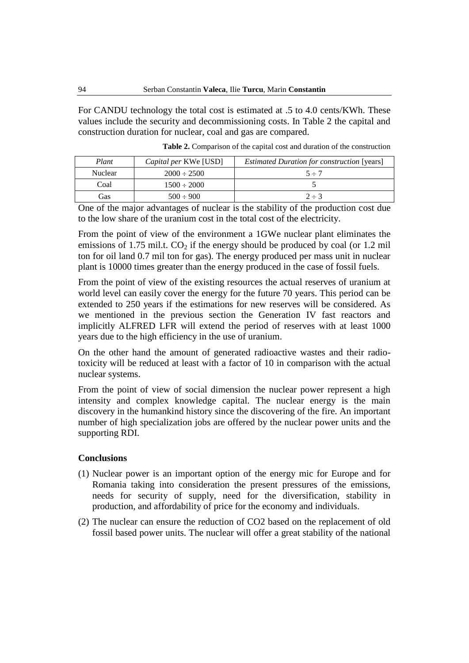For CANDU technology the total cost is estimated at .5 to 4.0 cents/KWh. These values include the security and decommissioning costs. In Table 2 the capital and construction duration for nuclear, coal and gas are compared.

| Plant   | <i>Capital per KWe</i> [USD] | <i>Estimated Duration for construction</i> [years] |
|---------|------------------------------|----------------------------------------------------|
| Nuclear | $2000 \div 2500$             | $5 \div 7$                                         |
| Coal    | $1500 \div 2000$             |                                                    |
| Gas     | $500 \div 900$               | $2 \div 3$                                         |

**Table 2.** Comparison of the capital cost and duration of the construction

One of the major advantages of nuclear is the stability of the production cost due to the low share of the uranium cost in the total cost of the electricity.

From the point of view of the environment a 1GWe nuclear plant eliminates the emissions of 1.75 mil.t.  $CO<sub>2</sub>$  if the energy should be produced by coal (or 1.2 mil ton for oil land 0.7 mil ton for gas). The energy produced per mass unit in nuclear plant is 10000 times greater than the energy produced in the case of fossil fuels.

From the point of view of the existing resources the actual reserves of uranium at world level can easily cover the energy for the future 70 years. This period can be extended to 250 years if the estimations for new reserves will be considered. As we mentioned in the previous section the Generation IV fast reactors and implicitly ALFRED LFR will extend the period of reserves with at least 1000 years due to the high efficiency in the use of uranium.

On the other hand the amount of generated radioactive wastes and their radiotoxicity will be reduced at least with a factor of 10 in comparison with the actual nuclear systems.

From the point of view of social dimension the nuclear power represent a high intensity and complex knowledge capital. The nuclear energy is the main discovery in the humankind history since the discovering of the fire. An important number of high specialization jobs are offered by the nuclear power units and the supporting RDI.

#### **Conclusions**

- (1) Nuclear power is an important option of the energy mic for Europe and for Romania taking into consideration the present pressures of the emissions, needs for security of supply, need for the diversification, stability in production, and affordability of price for the economy and individuals.
- (2) The nuclear can ensure the reduction of CO2 based on the replacement of old fossil based power units. The nuclear will offer a great stability of the national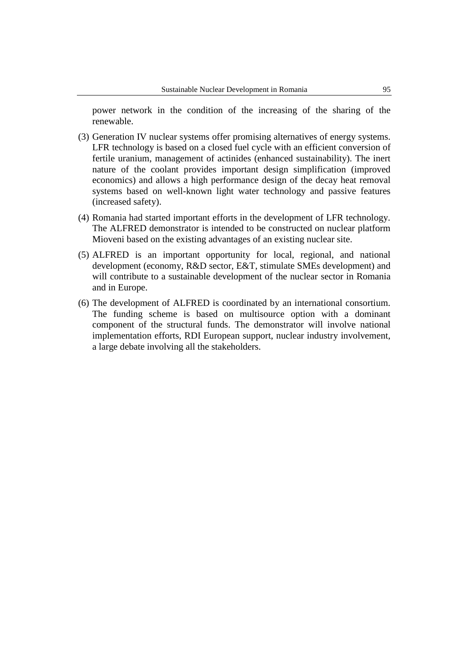power network in the condition of the increasing of the sharing of the renewable.

- (3) Generation IV nuclear systems offer promising alternatives of energy systems. LFR technology is based on a closed fuel cycle with an efficient conversion of fertile uranium, management of actinides (enhanced sustainability). The inert nature of the coolant provides important design simplification (improved economics) and allows a high performance design of the decay heat removal systems based on well-known light water technology and passive features (increased safety).
- (4) Romania had started important efforts in the development of LFR technology. The ALFRED demonstrator is intended to be constructed on nuclear platform Mioveni based on the existing advantages of an existing nuclear site.
- (5) ALFRED is an important opportunity for local, regional, and national development (economy, R&D sector, E&T, stimulate SMEs development) and will contribute to a sustainable development of the nuclear sector in Romania and in Europe.
- (6) The development of ALFRED is coordinated by an international consortium. The funding scheme is based on multisource option with a dominant component of the structural funds. The demonstrator will involve national implementation efforts, RDI European support, nuclear industry involvement, a large debate involving all the stakeholders.